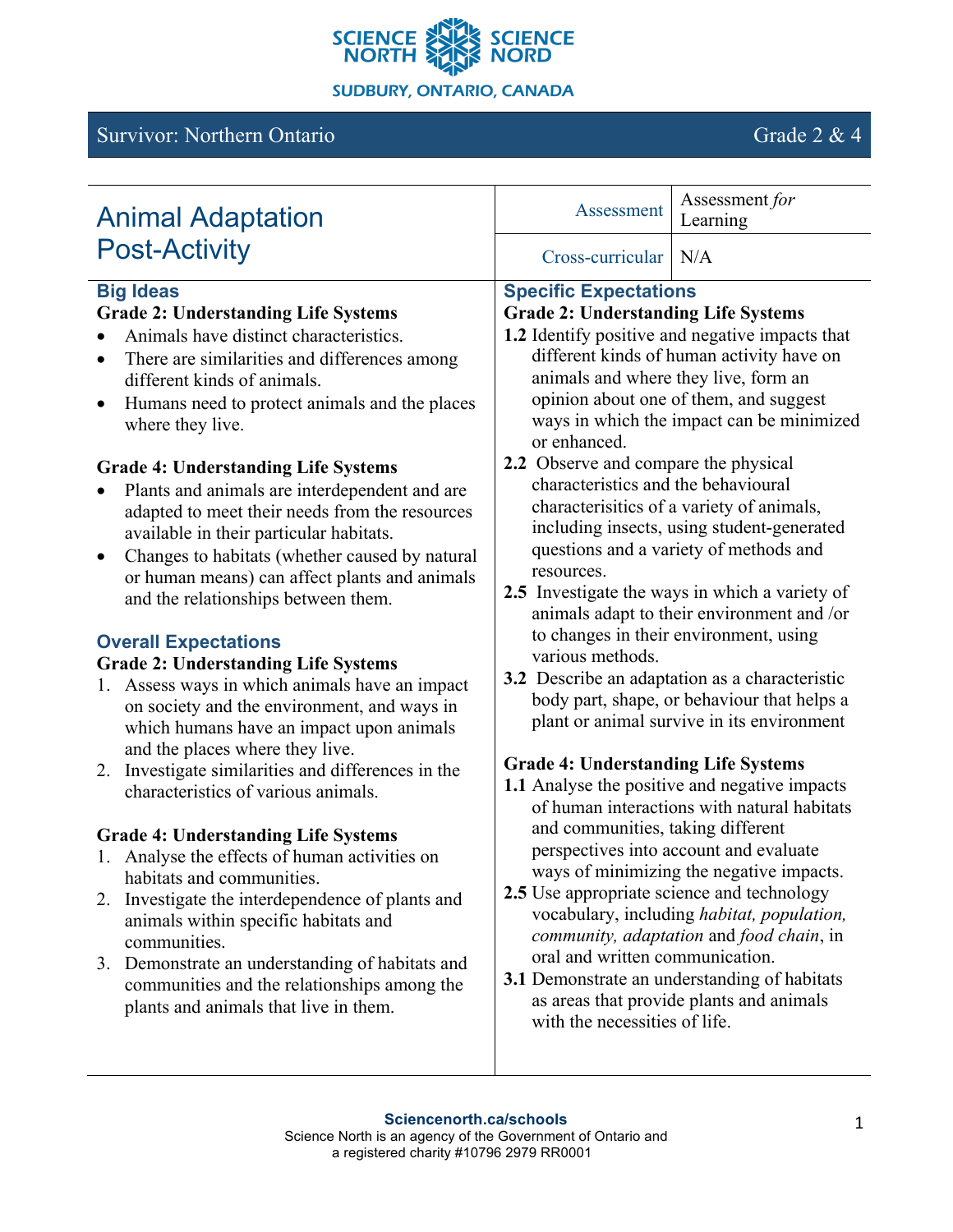

# Survivor: Northern Ontario Grade 2 & 4

| <b>Animal Adaptation</b>                                                                                                                                                                                                                                                                                                                                                                                                                                                                                                                                                                                                                                                                                                                                                                                                                                                                                                                                                                                                                                                                                                                                                                                                                                                                                                                              | Assessment                                                                                                                                                                                                                                                                                                                                                                                                                                                                                                                                                                                                                                                                                                                                                                                                                                                                                                                                                                                                                                                                                                                                                                                                                                                                                                                                                                              | Assessment for<br>Learning |
|-------------------------------------------------------------------------------------------------------------------------------------------------------------------------------------------------------------------------------------------------------------------------------------------------------------------------------------------------------------------------------------------------------------------------------------------------------------------------------------------------------------------------------------------------------------------------------------------------------------------------------------------------------------------------------------------------------------------------------------------------------------------------------------------------------------------------------------------------------------------------------------------------------------------------------------------------------------------------------------------------------------------------------------------------------------------------------------------------------------------------------------------------------------------------------------------------------------------------------------------------------------------------------------------------------------------------------------------------------|-----------------------------------------------------------------------------------------------------------------------------------------------------------------------------------------------------------------------------------------------------------------------------------------------------------------------------------------------------------------------------------------------------------------------------------------------------------------------------------------------------------------------------------------------------------------------------------------------------------------------------------------------------------------------------------------------------------------------------------------------------------------------------------------------------------------------------------------------------------------------------------------------------------------------------------------------------------------------------------------------------------------------------------------------------------------------------------------------------------------------------------------------------------------------------------------------------------------------------------------------------------------------------------------------------------------------------------------------------------------------------------------|----------------------------|
| <b>Post-Activity</b>                                                                                                                                                                                                                                                                                                                                                                                                                                                                                                                                                                                                                                                                                                                                                                                                                                                                                                                                                                                                                                                                                                                                                                                                                                                                                                                                  | Cross-curricular                                                                                                                                                                                                                                                                                                                                                                                                                                                                                                                                                                                                                                                                                                                                                                                                                                                                                                                                                                                                                                                                                                                                                                                                                                                                                                                                                                        | N/A                        |
| <b>Big Ideas</b><br><b>Grade 2: Understanding Life Systems</b><br>Animals have distinct characteristics.<br>There are similarities and differences among<br>different kinds of animals.<br>Humans need to protect animals and the places<br>where they live.<br><b>Grade 4: Understanding Life Systems</b><br>Plants and animals are interdependent and are<br>adapted to meet their needs from the resources<br>available in their particular habitats.<br>Changes to habitats (whether caused by natural<br>or human means) can affect plants and animals<br>and the relationships between them.<br><b>Overall Expectations</b><br><b>Grade 2: Understanding Life Systems</b><br>Assess ways in which animals have an impact<br>1.<br>on society and the environment, and ways in<br>which humans have an impact upon animals<br>and the places where they live.<br>Investigate similarities and differences in the<br>2.<br>characteristics of various animals.<br><b>Grade 4: Understanding Life Systems</b><br>Analyse the effects of human activities on<br>habitats and communities.<br>Investigate the interdependence of plants and<br>2.<br>animals within specific habitats and<br>communities.<br>3. Demonstrate an understanding of habitats and<br>communities and the relationships among the<br>plants and animals that live in them. | 1.2 Identify positive and negative impacts that<br>different kinds of human activity have on<br>animals and where they live, form an<br>opinion about one of them, and suggest<br>ways in which the impact can be minimized<br>or enhanced.<br>2.2 Observe and compare the physical<br>characteristics and the behavioural<br>characterisitics of a variety of animals,<br>including insects, using student-generated<br>questions and a variety of methods and<br>resources.<br>2.5 Investigate the ways in which a variety of<br>animals adapt to their environment and /or<br>to changes in their environment, using<br>various methods.<br>3.2 Describe an adaptation as a characteristic<br>body part, shape, or behaviour that helps a<br>plant or animal survive in its environment<br><b>Grade 4: Understanding Life Systems</b><br>1.1 Analyse the positive and negative impacts<br>of human interactions with natural habitats<br>and communities, taking different<br>perspectives into account and evaluate<br>ways of minimizing the negative impacts.<br><b>2.5</b> Use appropriate science and technology<br>vocabulary, including habitat, population,<br>community, adaptation and food chain, in<br>oral and written communication.<br>3.1 Demonstrate an understanding of habitats<br>as areas that provide plants and animals<br>with the necessities of life.<br>1 |                            |
| Sciencenorth.ca/schools<br>Science North is an agency of the Government of Ontario and<br>a registered charity #10796 2979 RR0001                                                                                                                                                                                                                                                                                                                                                                                                                                                                                                                                                                                                                                                                                                                                                                                                                                                                                                                                                                                                                                                                                                                                                                                                                     |                                                                                                                                                                                                                                                                                                                                                                                                                                                                                                                                                                                                                                                                                                                                                                                                                                                                                                                                                                                                                                                                                                                                                                                                                                                                                                                                                                                         |                            |